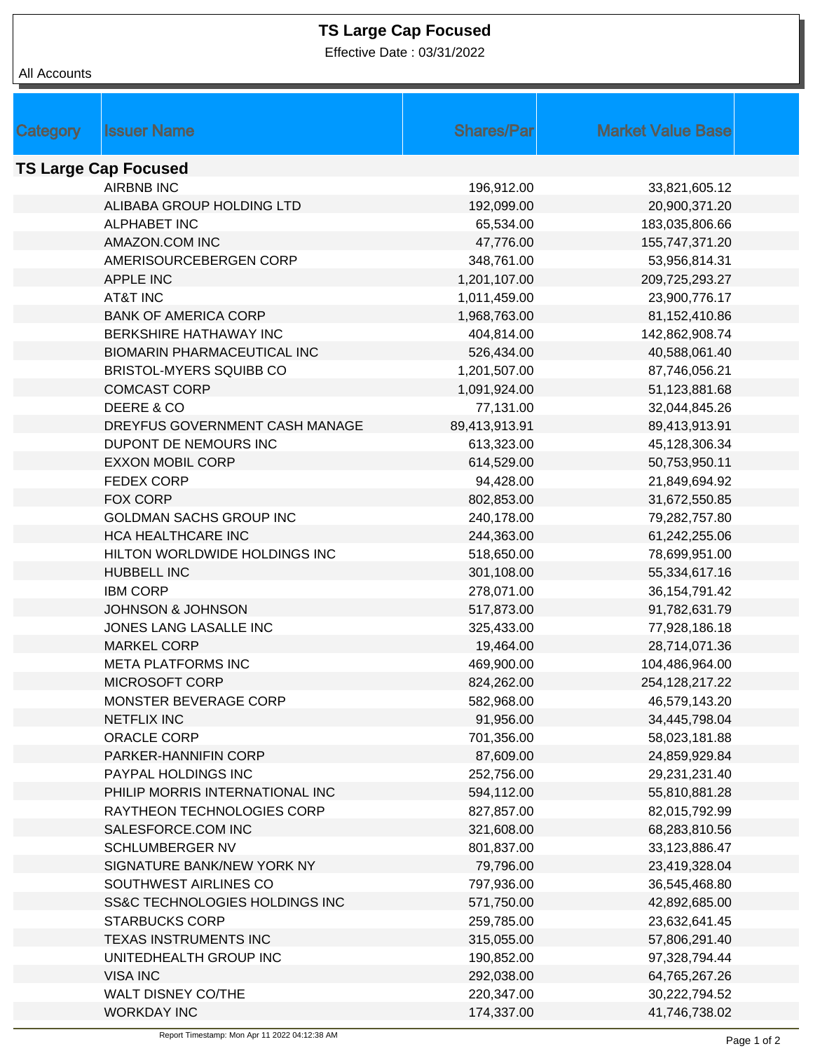## **TS Large Cap Focused**

Effective Date : 03/31/2022

| Category                    | <b>Issuer Name</b>                                  | <b>Shares/Parl</b> | <b>Market Value Base</b> |  |  |  |  |
|-----------------------------|-----------------------------------------------------|--------------------|--------------------------|--|--|--|--|
| <b>TS Large Cap Focused</b> |                                                     |                    |                          |  |  |  |  |
|                             | <b>AIRBNB INC</b>                                   | 196,912.00         | 33,821,605.12            |  |  |  |  |
|                             | ALIBABA GROUP HOLDING LTD                           | 192,099.00         | 20,900,371.20            |  |  |  |  |
|                             | <b>ALPHABET INC</b>                                 | 65,534.00          | 183,035,806.66           |  |  |  |  |
|                             | AMAZON.COM INC                                      | 47,776.00          | 155,747,371.20           |  |  |  |  |
|                             | AMERISOURCEBERGEN CORP                              | 348,761.00         | 53,956,814.31            |  |  |  |  |
|                             | APPLE INC                                           | 1,201,107.00       | 209,725,293.27           |  |  |  |  |
|                             | AT&T INC                                            | 1,011,459.00       | 23,900,776.17            |  |  |  |  |
|                             | <b>BANK OF AMERICA CORP</b>                         | 1,968,763.00       | 81,152,410.86            |  |  |  |  |
|                             | BERKSHIRE HATHAWAY INC                              | 404,814.00         | 142,862,908.74           |  |  |  |  |
|                             | <b>BIOMARIN PHARMACEUTICAL INC</b>                  | 526,434.00         | 40,588,061.40            |  |  |  |  |
|                             | <b>BRISTOL-MYERS SQUIBB CO</b>                      | 1,201,507.00       | 87,746,056.21            |  |  |  |  |
|                             | <b>COMCAST CORP</b>                                 | 1,091,924.00       | 51,123,881.68            |  |  |  |  |
|                             | DEERE & CO                                          |                    |                          |  |  |  |  |
|                             | DREYFUS GOVERNMENT CASH MANAGE                      | 77,131.00          | 32,044,845.26            |  |  |  |  |
|                             | DUPONT DE NEMOURS INC                               | 89,413,913.91      | 89,413,913.91            |  |  |  |  |
|                             |                                                     | 613,323.00         | 45,128,306.34            |  |  |  |  |
|                             | <b>EXXON MOBIL CORP</b>                             | 614,529.00         | 50,753,950.11            |  |  |  |  |
|                             | <b>FEDEX CORP</b>                                   | 94,428.00          | 21,849,694.92            |  |  |  |  |
|                             | FOX CORP<br><b>GOLDMAN SACHS GROUP INC</b>          | 802,853.00         | 31,672,550.85            |  |  |  |  |
|                             |                                                     | 240,178.00         | 79,282,757.80            |  |  |  |  |
|                             | HCA HEALTHCARE INC                                  | 244,363.00         | 61,242,255.06            |  |  |  |  |
|                             | HILTON WORLDWIDE HOLDINGS INC<br><b>HUBBELL INC</b> | 518,650.00         | 78,699,951.00            |  |  |  |  |
|                             |                                                     | 301,108.00         | 55,334,617.16            |  |  |  |  |
|                             | <b>IBM CORP</b><br><b>JOHNSON &amp; JOHNSON</b>     | 278,071.00         | 36, 154, 791. 42         |  |  |  |  |
|                             |                                                     | 517,873.00         | 91,782,631.79            |  |  |  |  |
|                             | JONES LANG LASALLE INC                              | 325,433.00         | 77,928,186.18            |  |  |  |  |
|                             | <b>MARKEL CORP</b><br><b>META PLATFORMS INC</b>     | 19,464.00          | 28,714,071.36            |  |  |  |  |
|                             |                                                     | 469,900.00         | 104,486,964.00           |  |  |  |  |
|                             | MICROSOFT CORP                                      | 824,262.00         | 254, 128, 217. 22        |  |  |  |  |
|                             | MONSTER BEVERAGE CORP                               | 582,968.00         | 46,579,143.20            |  |  |  |  |
|                             | <b>NETFLIX INC</b>                                  | 91,956.00          | 34,445,798.04            |  |  |  |  |
|                             | ORACLE CORP                                         | 701,356.00         | 58,023,181.88            |  |  |  |  |
|                             | PARKER-HANNIFIN CORP                                | 87,609.00          | 24,859,929.84            |  |  |  |  |
|                             | PAYPAL HOLDINGS INC                                 | 252,756.00         | 29,231,231.40            |  |  |  |  |
|                             | PHILIP MORRIS INTERNATIONAL INC                     | 594,112.00         | 55,810,881.28            |  |  |  |  |
|                             | RAYTHEON TECHNOLOGIES CORP                          | 827,857.00         | 82,015,792.99            |  |  |  |  |
|                             | SALESFORCE.COM INC                                  | 321,608.00         | 68,283,810.56            |  |  |  |  |
|                             | SCHLUMBERGER NV                                     | 801,837.00         | 33,123,886.47            |  |  |  |  |
|                             | SIGNATURE BANK/NEW YORK NY                          | 79,796.00          | 23,419,328.04            |  |  |  |  |
|                             | SOUTHWEST AIRLINES CO                               | 797,936.00         | 36,545,468.80            |  |  |  |  |
|                             | SS&C TECHNOLOGIES HOLDINGS INC                      | 571,750.00         | 42,892,685.00            |  |  |  |  |
|                             | <b>STARBUCKS CORP</b>                               | 259,785.00         | 23,632,641.45            |  |  |  |  |
|                             | TEXAS INSTRUMENTS INC                               | 315,055.00         | 57,806,291.40            |  |  |  |  |
|                             | UNITEDHEALTH GROUP INC                              | 190,852.00         | 97,328,794.44            |  |  |  |  |
|                             | <b>VISA INC</b>                                     | 292,038.00         | 64,765,267.26            |  |  |  |  |
|                             | WALT DISNEY CO/THE                                  | 220,347.00         | 30,222,794.52            |  |  |  |  |
|                             | <b>WORKDAY INC</b>                                  | 174,337.00         | 41,746,738.02            |  |  |  |  |